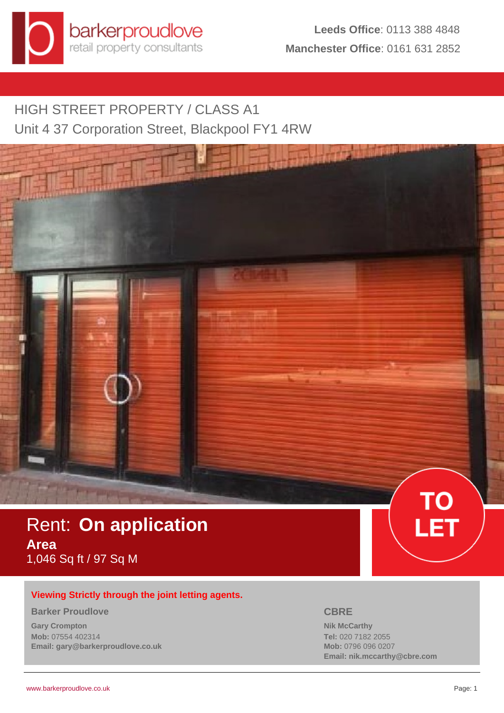

# HIGH STREET PROPERTY / CLASS A1 Unit 4 37 Corporation Street, Blackpool FY1 4RW

# Rent: **On application Area** 1,046 Sq ft / 97 Sq M

# **Viewing Strictly through the joint letting agents.**

#### **Barker Proudlove**

**Gary Crompton Mob:** 07554 402314 **Email: gary@barkerproudlove.co.uk**

## **CBRE**

**Nik McCarthy Tel:** 020 7182 2055 **Mob:** 0796 096 0207 **Email: nik.mccarthy@cbre.com**